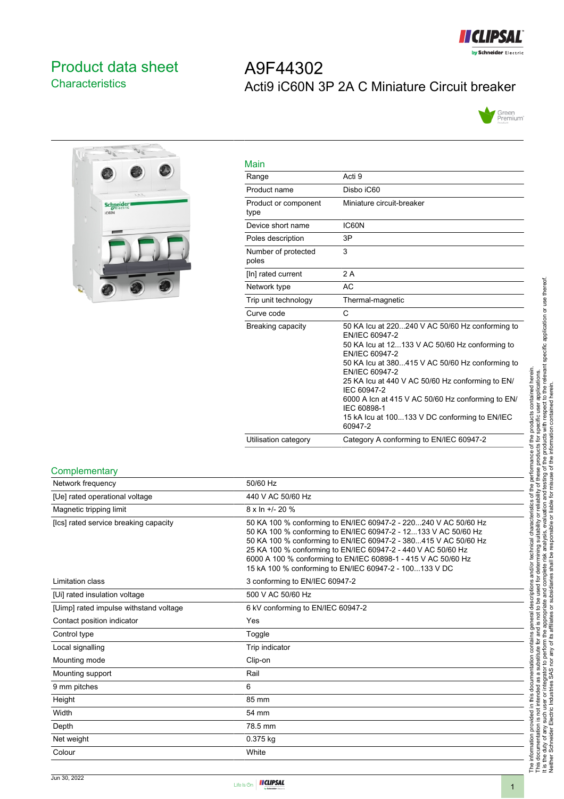

# <span id="page-0-0"></span>Product data sheet **Characteristics**

# $\overline{P_{1}}$  $\overline{v}$ **Schneider**

| A9F44302                                      |
|-----------------------------------------------|
| Acti9 iC60N 3P 2A C Miniature Circuit breaker |



| Main                         |                                                                                                                                                                                                                                                                                                                                                                                                               |
|------------------------------|---------------------------------------------------------------------------------------------------------------------------------------------------------------------------------------------------------------------------------------------------------------------------------------------------------------------------------------------------------------------------------------------------------------|
| Range                        | Acti 9                                                                                                                                                                                                                                                                                                                                                                                                        |
| Product name                 | Disho iC60                                                                                                                                                                                                                                                                                                                                                                                                    |
| Product or component<br>type | Miniature circuit-breaker                                                                                                                                                                                                                                                                                                                                                                                     |
| Device short name            | IC60N                                                                                                                                                                                                                                                                                                                                                                                                         |
| Poles description            | 3P                                                                                                                                                                                                                                                                                                                                                                                                            |
| Number of protected<br>poles | 3                                                                                                                                                                                                                                                                                                                                                                                                             |
| [In] rated current           | 2 A                                                                                                                                                                                                                                                                                                                                                                                                           |
| Network type                 | <b>AC</b>                                                                                                                                                                                                                                                                                                                                                                                                     |
| Trip unit technology         | Thermal-magnetic                                                                                                                                                                                                                                                                                                                                                                                              |
| Curve code                   | C                                                                                                                                                                                                                                                                                                                                                                                                             |
| Breaking capacity            | 50 KA lcu at 220240 V AC 50/60 Hz conforming to<br>EN/IEC 60947-2<br>50 KA lcu at 12133 V AC 50/60 Hz conforming to<br>EN/IEC 60947-2<br>50 KA Icu at 380415 V AC 50/60 Hz conforming to<br>EN/IEC 60947-2<br>25 KA Icu at 440 V AC 50/60 Hz conforming to EN/<br>IEC 60947-2<br>6000 A Icn at 415 V AC 50/60 Hz conforming to EN/<br>IEC 60898-1<br>15 kA lcu at 100133 V DC conforming to EN/IEC<br>60947-2 |
| Utilisation category         | Category A conforming to EN/IEC 60947-2                                                                                                                                                                                                                                                                                                                                                                       |

#### **Complementary**

| Network frequency                      | 50/60 Hz                                                                                                                                                                                                                                                                                                                                                                                        |
|----------------------------------------|-------------------------------------------------------------------------------------------------------------------------------------------------------------------------------------------------------------------------------------------------------------------------------------------------------------------------------------------------------------------------------------------------|
| [Ue] rated operational voltage         | 440 V AC 50/60 Hz                                                                                                                                                                                                                                                                                                                                                                               |
| Magnetic tripping limit                | 8 x ln +/- 20 %                                                                                                                                                                                                                                                                                                                                                                                 |
| [Ics] rated service breaking capacity  | 50 KA 100 % conforming to EN/IEC 60947-2 - 220240 V AC 50/60 Hz<br>50 KA 100 % conforming to EN/IEC 60947-2 - 12133 V AC 50/60 Hz<br>50 KA 100 % conforming to EN/IEC 60947-2 - 380415 V AC 50/60 Hz<br>25 KA 100 % conforming to EN/IEC 60947-2 - 440 V AC 50/60 Hz<br>6000 A 100 % conforming to EN/IEC 60898-1 - 415 V AC 50/60 Hz<br>15 kA 100 % conforming to EN/IEC 60947-2 - 100133 V DC |
| Limitation class                       | 3 conforming to EN/IEC 60947-2                                                                                                                                                                                                                                                                                                                                                                  |
| [Ui] rated insulation voltage          | 500 V AC 50/60 Hz                                                                                                                                                                                                                                                                                                                                                                               |
| [Uimp] rated impulse withstand voltage | 6 kV conforming to EN/IEC 60947-2                                                                                                                                                                                                                                                                                                                                                               |
| Contact position indicator             | Yes                                                                                                                                                                                                                                                                                                                                                                                             |
| Control type                           | Toggle                                                                                                                                                                                                                                                                                                                                                                                          |
| Local signalling                       | Trip indicator                                                                                                                                                                                                                                                                                                                                                                                  |
| Mounting mode                          | Clip-on                                                                                                                                                                                                                                                                                                                                                                                         |
| Mounting support                       | Rail                                                                                                                                                                                                                                                                                                                                                                                            |
| 9 mm pitches                           | 6                                                                                                                                                                                                                                                                                                                                                                                               |
| Height                                 | 85 mm                                                                                                                                                                                                                                                                                                                                                                                           |
| Width                                  | 54 mm                                                                                                                                                                                                                                                                                                                                                                                           |
| Depth                                  | 78.5 mm                                                                                                                                                                                                                                                                                                                                                                                         |
| Net weight                             | 0.375 kg                                                                                                                                                                                                                                                                                                                                                                                        |
| Colour                                 | White                                                                                                                                                                                                                                                                                                                                                                                           |